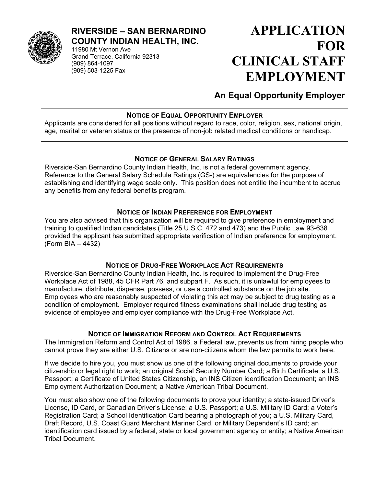

#### **RIVERSIDE – SAN BERNARDINO COUNTY INDIAN HEALTH, INC.**

11980 Mt Vernon Ave Grand Terrace, California 92313 (909) 864-1097 (909) 503-1225 Fax

# **APPLICATION FOR CLINICAL STAFF EMPLOYMENT**

# **An Equal Opportunity Employer**

#### **NOTICE OF EQUAL OPPORTUNITY EMPLOYER**

Applicants are considered for all positions without regard to race, color, religion, sex, national origin, age, marital or veteran status or the presence of non-job related medical conditions or handicap.

#### **NOTICE OF GENERAL SALARY RATINGS**

Riverside-San Bernardino County Indian Health, Inc. is not a federal government agency. Reference to the General Salary Schedule Ratings (GS-) are equivalencies for the purpose of establishing and identifying wage scale only. This position does not entitle the incumbent to accrue any benefits from any federal benefits program.

#### **NOTICE OF INDIAN PREFERENCE FOR EMPLOYMENT**

You are also advised that this organization will be required to give preference in employment and training to qualified Indian candidates (Title 25 U.S.C. 472 and 473) and the Public Law 93-638 provided the applicant has submitted appropriate verification of Indian preference for employment. (Form BIA – 4432)

#### **NOTICE OF DRUG-FREE WORKPLACE ACT REQUIREMENTS**

Riverside-San Bernardino County Indian Health, Inc. is required to implement the Drug-Free Workplace Act of 1988, 45 CFR Part 76, and subpart F. As such, it is unlawful for employees to manufacture, distribute, dispense, possess, or use a controlled substance on the job site. Employees who are reasonably suspected of violating this act may be subject to drug testing as a condition of employment. Employer required fitness examinations shall include drug testing as evidence of employee and employer compliance with the Drug-Free Workplace Act.

#### **NOTICE OF IMMIGRATION REFORM AND CONTROL ACT REQUIREMENTS**

The Immigration Reform and Control Act of 1986, a Federal law, prevents us from hiring people who cannot prove they are either U.S. Citizens or are non-citizens whom the law permits to work here.

If we decide to hire you, you must show us one of the following original documents to provide your citizenship or legal right to work; an original Social Security Number Card; a Birth Certificate; a U.S. Passport; a Certificate of United States Citizenship, an INS Citizen identification Document; an INS Employment Authorization Document; a Native American Tribal Document.

You must also show one of the following documents to prove your identity; a state-issued Driver's License, ID Card, or Canadian Driver's License; a U.S. Passport; a U.S. Military ID Card; a Voter's Registration Card; a School Identification Card bearing a photograph of you; a U.S. Military Card, Draft Record, U.S. Coast Guard Merchant Mariner Card, or Military Dependent's ID card; an identification card issued by a federal, state or local government agency or entity; a Native American Tribal Document.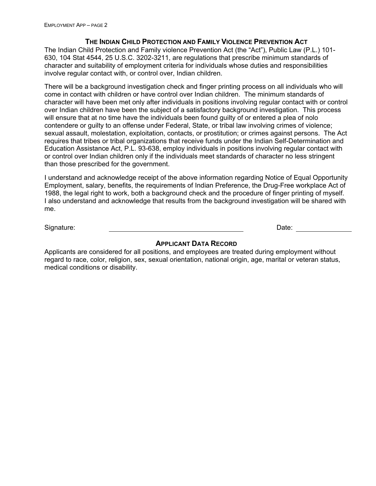#### **THE INDIAN CHILD PROTECTION AND FAMILY VIOLENCE PREVENTION ACT**

The Indian Child Protection and Family violence Prevention Act (the "Act"), Public Law (P.L.) 101- 630, 104 Stat 4544, 25 U.S.C. 3202-3211, are regulations that prescribe minimum standards of character and suitability of employment criteria for individuals whose duties and responsibilities involve regular contact with, or control over, Indian children.

There will be a background investigation check and finger printing process on all individuals who will come in contact with children or have control over Indian children. The minimum standards of character will have been met only after individuals in positions involving regular contact with or control over Indian children have been the subject of a satisfactory background investigation. This process will ensure that at no time have the individuals been found guilty of or entered a plea of nolo contendere or guilty to an offense under Federal, State, or tribal law involving crimes of violence; sexual assault, molestation, exploitation, contacts, or prostitution; or crimes against persons. The Act requires that tribes or tribal organizations that receive funds under the Indian Self-Determination and Education Assistance Act, P.L. 93-638, employ individuals in positions involving regular contact with or control over Indian children only if the individuals meet standards of character no less stringent than those prescribed for the government.

I understand and acknowledge receipt of the above information regarding Notice of Equal Opportunity Employment, salary, benefits, the requirements of Indian Preference, the Drug-Free workplace Act of 1988, the legal right to work, both a background check and the procedure of finger printing of myself. I also understand and acknowledge that results from the background investigation will be shared with me.

Signature: Date: Date: Date: Date: Date: Date: Date: Date: Date: Date: Date: Date: Date: Date: Date: Date: Date: Date: Date: Date: Date: Date: Date: Date: Date: Date: Date: Date: Date: Date: Date: Date: Date: Date: Date: D

#### **APPLICANT DATA RECORD**

Applicants are considered for all positions, and employees are treated during employment without regard to race, color, religion, sex, sexual orientation, national origin, age, marital or veteran status, medical conditions or disability.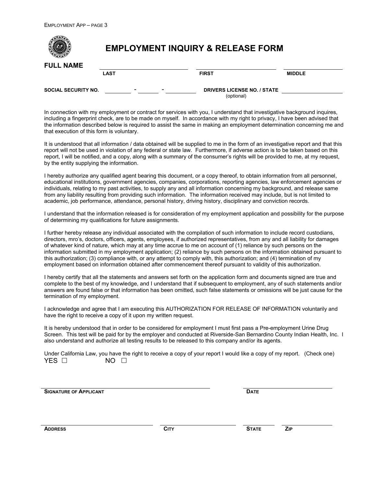$\sqrt{2}$ 

| <b>FULL NAME</b>           | <b>EMPLOYMENT INQUIRY &amp; RELEASE FORM</b> |                                                 |               |  |  |
|----------------------------|----------------------------------------------|-------------------------------------------------|---------------|--|--|
|                            | <b>LAST</b>                                  | <b>FIRST</b>                                    | <b>MIDDLE</b> |  |  |
| <b>SOCIAL SECURITY NO.</b> |                                              | <b>DRIVERS LICENSE NO. / STATE</b><br>(optional |               |  |  |

In connection with my employment or contract for services with you, I understand that investigative background inquires, including a fingerprint check, are to be made on myself. In accordance with my right to privacy, I have been advised that the information described below is required to assist the same in making an employment determination concerning me and that execution of this form is voluntary.

It is understood that all information / data obtained will be supplied to me in the form of an investigative report and that this report will not be used in violation of any federal or state law. Furthermore, if adverse action is to be taken based on this report, I will be notified, and a copy, along with a summary of the consumer's rights will be provided to me, at my request, by the entity supplying the information.

I hereby authorize any qualified agent bearing this document, or a copy thereof, to obtain information from all personnel, educational institutions, government agencies, companies, corporations, reporting agencies, law enforcement agencies or individuals, relating to my past activities, to supply any and all information concerning my background, and release same from any liability resulting from providing such information. The information received may include, but is not limited to academic, job performance, attendance, personal history, driving history, disciplinary and conviction records.

I understand that the information released is for consideration of my employment application and possibility for the purpose of determining my qualifications for future assignments.

I further hereby release any individual associated with the compilation of such information to include record custodians, directors, mro's, doctors, officers, agents, employees, if authorized representatives, from any and all liability for damages of whatever kind of nature, which may at any time accrue to me on account of (1) reliance by such persons on the information submitted in my employment application; (2) reliance by such persons on the information obtained pursuant to this authorization; (3) compliance with, or any attempt to comply with, this authorization; and (4) termination of my employment based on information obtained after commencement thereof pursuant to validity of this authorization.

I hereby certify that all the statements and answers set forth on the application form and documents signed are true and complete to the best of my knowledge, and I understand that if subsequent to employment, any of such statements and/or answers are found false or that information has been omitted, such false statements or omissions will be just cause for the termination of my employment.

I acknowledge and agree that I am executing this AUTHORIZATION FOR RELEASE OF INFORMATION voluntarily and have the right to receive a copy of it upon my written request.

It is hereby understood that in order to be considered for employment I must first pass a Pre-employment Urine Drug Screen. This test will be paid for by the employer and conducted at Riverside-San Bernardino County Indian Health, Inc. I also understand and authorize all testing results to be released to this company and/or its agents.

Under California Law, you have the right to receive a copy of your report I would like a copy of my report. (Check one)  $YES \Box$  NO  $\Box$ 

**SIGNATURE OF APPLICANT DATE**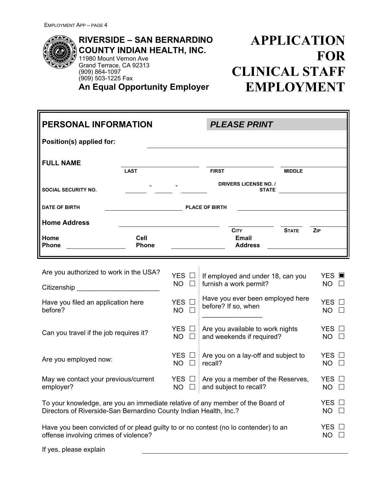

**RIVERSIDE – SAN BERNARDINO COUNTY INDIAN HEALTH, INC.** 11980 Mount Vernon Ave Grand Terrace, CA 92313 (909) 864-1097 (909) 503-1225 Fax **An Equal Opportunity Employer**

# **APPLICATION FOR CLINICAL STAFF EMPLOYMENT**

| <b>PERSONAL INFORMATION</b><br><b>PLEASE PRINT</b>                |                                                                                                                         |                              |                                                                                     |               |                                 |  |  |  |
|-------------------------------------------------------------------|-------------------------------------------------------------------------------------------------------------------------|------------------------------|-------------------------------------------------------------------------------------|---------------|---------------------------------|--|--|--|
| Position(s) applied for:                                          |                                                                                                                         |                              |                                                                                     |               |                                 |  |  |  |
| <b>FULL NAME</b>                                                  |                                                                                                                         |                              |                                                                                     |               |                                 |  |  |  |
|                                                                   | <b>LAST</b>                                                                                                             |                              | <b>FIRST</b>                                                                        | <b>MIDDLE</b> |                                 |  |  |  |
| <b>SOCIAL SECURITY NO.</b>                                        |                                                                                                                         |                              | <b>DRIVERS LICENSE NO. /</b><br><b>STATE</b>                                        |               |                                 |  |  |  |
| DATE OF BIRTH                                                     | <u> 1989 - Johann Stoff, deutscher Stoffen und der Stoffen und der Stoffen und der Stoffen und der Stoffen und der </u> |                              | <b>PLACE OF BIRTH</b>                                                               |               |                                 |  |  |  |
| <b>Home Address</b>                                               |                                                                                                                         |                              |                                                                                     |               |                                 |  |  |  |
| Home<br><b>Phone</b>                                              | Cell<br>Phone                                                                                                           |                              | <b>CITY</b><br><b>Email</b><br><b>Address</b>                                       | <b>STATE</b>  | ZIP                             |  |  |  |
|                                                                   |                                                                                                                         |                              |                                                                                     |               |                                 |  |  |  |
| Are you authorized to work in the USA?                            |                                                                                                                         | YES □                        | If employed and under 18, can you                                                   |               | <b>YES</b>                      |  |  |  |
| Citizenship _________________________                             |                                                                                                                         | <b>NO</b><br>$\Box$          | furnish a work permit?                                                              |               | $NO$ $\Box$                     |  |  |  |
| Have you filed an application here<br>before?                     |                                                                                                                         | YES O<br><b>NO</b><br>$\Box$ | Have you ever been employed here<br>before? If so, when                             |               | YES $\square$<br>$NO$ $\Box$    |  |  |  |
| Can you travel if the job requires it?                            |                                                                                                                         | YES □<br>$NO$ $\square$      | Are you available to work nights<br>and weekends if required?                       |               | YES $\Box$<br>$NO$ $\square$    |  |  |  |
| Are you employed now:                                             |                                                                                                                         | YES □<br><b>NO</b><br>П      | Are you on a lay-off and subject to<br>recall?                                      |               | YES $\square$<br>$NO$ $\square$ |  |  |  |
| May we contact your previous/current<br>employer?                 |                                                                                                                         | YES □<br>$NO$ $\Box$         | Are you a member of the Reserves,<br>and subject to recall?                         |               | YES $\Box$<br>$NO$ $\Box$       |  |  |  |
| Directors of Riverside-San Bernardino County Indian Health, Inc.? |                                                                                                                         |                              | To your knowledge, are you an immediate relative of any member of the Board of      |               | YES O<br>NO .<br>$\Box$         |  |  |  |
| offense involving crimes of violence?                             |                                                                                                                         |                              | Have you been convicted of or plead guilty to or no contest (no lo contender) to an |               | YES $\Box$<br>$NO$ $\Box$       |  |  |  |
| If yes, please explain                                            |                                                                                                                         |                              |                                                                                     |               |                                 |  |  |  |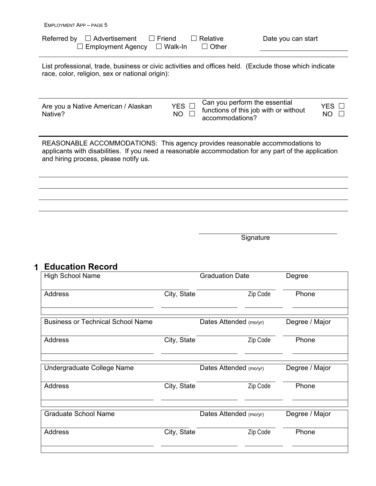| Referred by $\Box$ Advertisement $\Box$ Friend $\Box$ Relative |         | Date you can start |
|----------------------------------------------------------------|---------|--------------------|
| $\Box$ Employment Agency $\Box$ Walk-In                        | □ Other |                    |

List professional, trade, business or civic activities and offices held. (Exclude those which indicate race, color, religion, sex or national origin):

Are you a Native American / Alaskan Native?

YES  $\Box$  $NO$   $\square$ Can you perform the essential functions of this job with or without accommodations?

| Y.<br>⊢  |  |
|----------|--|
| Γ.<br>۲l |  |

REASONABLE ACCOMMODATIONS: This agency provides reasonable accommodations to applicants with disabilities. If you need a reasonable accommodation for any part of the application and hiring process, please notify us.

Signature

### **Education Record 1**

|             |          | Degree                                                                                               |
|-------------|----------|------------------------------------------------------------------------------------------------------|
| City, State | Zip Code | Phone                                                                                                |
|             |          | Degree / Major                                                                                       |
| City, State | Zip Code | Phone                                                                                                |
|             |          | Degree / Major                                                                                       |
| City, State | Zip Code | Phone                                                                                                |
|             |          | Degree / Major                                                                                       |
| City, State | Zip Code | Phone                                                                                                |
|             |          | <b>Graduation Date</b><br>Dates Attended (mo/yr)<br>Dates Attended (mo/yr)<br>Dates Attended (mo/yr) |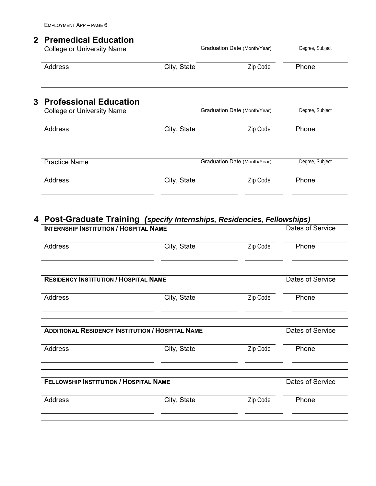## **Premedical Education 2**

| College or University Name |             | Graduation Date (Month/Year) | Degree, Subject |
|----------------------------|-------------|------------------------------|-----------------|
| Address                    | City, State | Zip Code                     | Phone           |
|                            |             |                              |                 |

## **Professional Education 3**

| <b>College or University Name</b> |             | Graduation Date (Month/Year) | Degree, Subject |
|-----------------------------------|-------------|------------------------------|-----------------|
| Address                           | City, State | Zip Code                     | Phone           |
| <b>Practice Name</b>              |             | Graduation Date (Month/Year) | Degree, Subject |
| <b>Address</b>                    | City, State | Zip Code                     | Phone           |

#### **Post-Graduate Training** *(specify Internships, Residencies, Fellowships)* **4**

| <b>INTERNSHIP INSTITUTION / HOSPITAL NAME</b> |                                                         |          | Dates of Service |
|-----------------------------------------------|---------------------------------------------------------|----------|------------------|
| Address                                       | City, State                                             | Zip Code | Phone            |
|                                               |                                                         |          |                  |
| <b>RESIDENCY INSTITUTION / HOSPITAL NAME</b>  |                                                         |          | Dates of Service |
| <b>Address</b>                                | City, State                                             | Zip Code | Phone            |
|                                               | <b>ADDITIONAL RESIDENCY INSTITUTION / HOSPITAL NAME</b> |          | Dates of Service |
| <b>Address</b>                                | City, State                                             | Zip Code | Phone            |
| <b>FELLOWSHIP INSTITUTION / HOSPITAL NAME</b> |                                                         |          | Dates of Service |
| <b>Address</b>                                | City, State                                             | Zip Code | Phone            |
|                                               |                                                         |          |                  |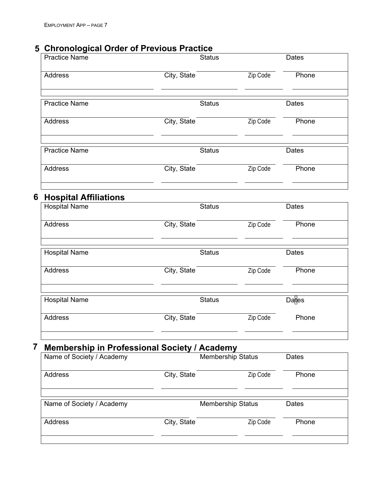# **Chronological Order of Previous Practice 5**

|   | <b>Practice Name</b>                                | <b>Status</b> |                          | Dates        |  |
|---|-----------------------------------------------------|---------------|--------------------------|--------------|--|
|   | <b>Address</b>                                      | City, State   | Zip Code                 | Phone        |  |
|   | <b>Practice Name</b>                                | <b>Status</b> |                          | Dates        |  |
|   | <b>Address</b>                                      | City, State   | Zip Code                 | Phone        |  |
|   | <b>Practice Name</b>                                | <b>Status</b> |                          | Dates        |  |
|   | <b>Address</b>                                      | City, State   | Zip Code                 | Phone        |  |
| 6 | <b>Hospital Affiliations</b>                        |               |                          |              |  |
|   | <b>Hospital Name</b>                                | <b>Status</b> |                          | <b>Dates</b> |  |
|   | <b>Address</b>                                      | City, State   | Zip Code                 | Phone        |  |
|   | Hospital Name                                       | <b>Status</b> |                          | Dates        |  |
|   | Address                                             | City, State   | Zip Code                 | Phone        |  |
|   | <b>Hospital Name</b>                                | <b>Status</b> |                          | <b>Dates</b> |  |
|   | <b>Address</b>                                      | City, State   | Zip Code                 | Phone        |  |
| 7 | <b>Membership in Professional Society / Academy</b> |               |                          |              |  |
|   | Name of Society / Academy                           |               | <b>Membership Status</b> | Dates        |  |
|   | Address                                             | City, State   | Zip Code                 | Phone        |  |

| Name of Society / Academy |             | <b>Membership Status</b><br>Dates |       |  |
|---------------------------|-------------|-----------------------------------|-------|--|
| Address                   | City, State | Zip Code                          | Phone |  |
|                           |             |                                   |       |  |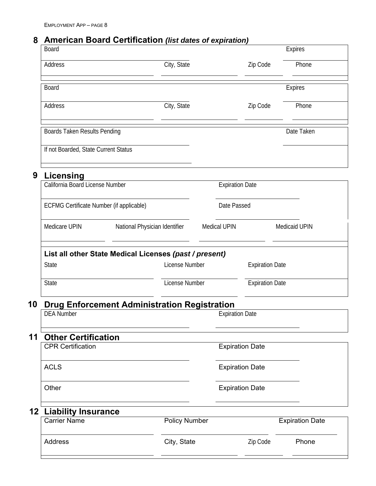### **American Board Certification** *(list dates of expiration)* **8**

| Board                                           |                                                                          |                        |                        | <b>Expires</b>         |
|-------------------------------------------------|--------------------------------------------------------------------------|------------------------|------------------------|------------------------|
| Address                                         | City, State                                                              |                        | Zip Code               | Phone                  |
| <b>Board</b>                                    |                                                                          |                        |                        | Expires                |
| Address                                         | City, State                                                              |                        | Zip Code               | Phone                  |
| Boards Taken Results Pending                    |                                                                          |                        |                        | Date Taken             |
| If not Boarded, State Current Status            |                                                                          |                        |                        |                        |
| 9<br><b>Licensing</b>                           |                                                                          |                        |                        |                        |
| California Board License Number                 |                                                                          | <b>Expiration Date</b> |                        |                        |
| <b>ECFMG Certificate Number (if applicable)</b> |                                                                          | Date Passed            |                        |                        |
| Medicare UPIN                                   | National Physician Identifier                                            | <b>Medical UPIN</b>    |                        | Medicaid UPIN          |
|                                                 |                                                                          |                        |                        |                        |
| <b>State</b>                                    | List all other State Medical Licenses (past / present)<br>License Number |                        | <b>Expiration Date</b> |                        |
| <b>State</b>                                    | License Number                                                           |                        | <b>Expiration Date</b> |                        |
|                                                 | <b>Drug Enforcement Administration Registration</b>                      |                        |                        |                        |
| <b>DEA Number</b>                               |                                                                          | <b>Expiration Date</b> |                        |                        |
| <b>Other Certification</b>                      |                                                                          |                        |                        |                        |
| <b>CPR Certification</b>                        |                                                                          |                        | <b>Expiration Date</b> |                        |
| <b>ACLS</b>                                     |                                                                          |                        | <b>Expiration Date</b> |                        |
| Other                                           |                                                                          |                        | <b>Expiration Date</b> |                        |
| 10<br>11<br>12<br><b>Liability Insurance</b>    |                                                                          |                        |                        |                        |
| <b>Carrier Name</b>                             | <b>Policy Number</b>                                                     |                        |                        | <b>Expiration Date</b> |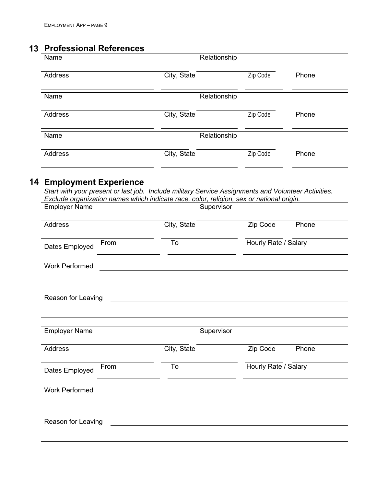## **Professional References 13**

| Name<br>Relationship |              |          |       |
|----------------------|--------------|----------|-------|
| Address              | City, State  | Zip Code | Phone |
| Name                 | Relationship |          |       |
| Address              | City, State  | Zip Code | Phone |
| Name                 | Relationship |          |       |
| Address              | City, State  | Zip Code | Phone |

#### **Employment Experience 14**

| Start with your present or last job. Include military Service Assignments and Volunteer Activities. |                                                                                          |             |                      |       |  |  |  |
|-----------------------------------------------------------------------------------------------------|------------------------------------------------------------------------------------------|-------------|----------------------|-------|--|--|--|
|                                                                                                     | Exclude organization names which indicate race, color, religion, sex or national origin. |             |                      |       |  |  |  |
| <b>Employer Name</b>                                                                                |                                                                                          | Supervisor  |                      |       |  |  |  |
|                                                                                                     |                                                                                          |             |                      |       |  |  |  |
| Address                                                                                             |                                                                                          | City, State | Zip Code             | Phone |  |  |  |
|                                                                                                     |                                                                                          |             |                      |       |  |  |  |
| Dates Employed                                                                                      | From                                                                                     | To          | Hourly Rate / Salary |       |  |  |  |
|                                                                                                     |                                                                                          |             |                      |       |  |  |  |
| <b>Work Performed</b>                                                                               |                                                                                          |             |                      |       |  |  |  |
|                                                                                                     |                                                                                          |             |                      |       |  |  |  |
|                                                                                                     |                                                                                          |             |                      |       |  |  |  |
|                                                                                                     |                                                                                          |             |                      |       |  |  |  |
| Reason for Leaving                                                                                  |                                                                                          |             |                      |       |  |  |  |
|                                                                                                     |                                                                                          |             |                      |       |  |  |  |
|                                                                                                     |                                                                                          |             |                      |       |  |  |  |

| <b>Employer Name</b>   |             | Supervisor           |
|------------------------|-------------|----------------------|
| Address                | City, State | Zip Code<br>Phone    |
| From<br>Dates Employed | To          | Hourly Rate / Salary |
| <b>Work Performed</b>  |             |                      |
| Reason for Leaving     |             |                      |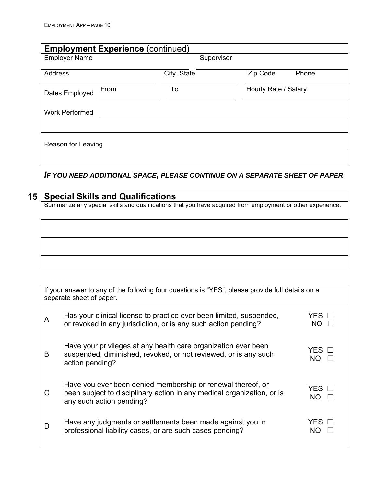| <b>Employment Experience (continued)</b> |                            |                   |  |  |  |
|------------------------------------------|----------------------------|-------------------|--|--|--|
| <b>Employer Name</b>                     | Supervisor                 |                   |  |  |  |
| Address                                  | City, State                | Zip Code<br>Phone |  |  |  |
| From<br>Dates Employed                   | Hourly Rate / Salary<br>To |                   |  |  |  |
| <b>Work Performed</b>                    |                            |                   |  |  |  |
| Reason for Leaving                       |                            |                   |  |  |  |

## *IF YOU NEED ADDITIONAL SPACE, PLEASE CONTINUE ON A SEPARATE SHEET OF PAPER*

| <b>Special Skills and Qualifications</b>                                                                    |
|-------------------------------------------------------------------------------------------------------------|
| Summarize any special skills and qualifications that you have acquired from employment or other experience: |
|                                                                                                             |
|                                                                                                             |
|                                                                                                             |
|                                                                                                             |
|                                                                                                             |
|                                                                                                             |
|                                                                                                             |

|   | If your answer to any of the following four questions is "YES", please provide full details on a<br>separate sheet of paper.                                      |                          |  |  |
|---|-------------------------------------------------------------------------------------------------------------------------------------------------------------------|--------------------------|--|--|
| A | Has your clinical license to practice ever been limited, suspended,<br>or revoked in any jurisdiction, or is any such action pending?                             | YES □<br>NO.             |  |  |
| B | Have your privileges at any health care organization ever been<br>suspended, diminished, revoked, or not reviewed, or is any such<br>action pending?              | YES □<br>$NO \quad \Box$ |  |  |
| C | Have you ever been denied membership or renewal thereof, or<br>been subject to disciplinary action in any medical organization, or is<br>any such action pending? | YES □<br>NO.             |  |  |
| D | Have any judgments or settlements been made against you in<br>professional liability cases, or are such cases pending?                                            | YFS.<br>NΟ               |  |  |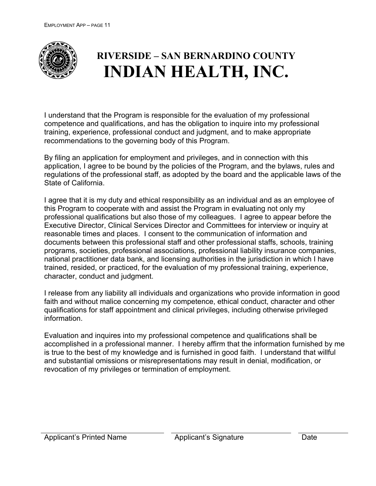

# **RIVERSIDE – SAN BERNARDINO COUNTY INDIAN HEALTH, INC.**

I understand that the Program is responsible for the evaluation of my professional competence and qualifications, and has the obligation to inquire into my professional training, experience, professional conduct and judgment, and to make appropriate recommendations to the governing body of this Program.

By filing an application for employment and privileges, and in connection with this application, I agree to be bound by the policies of the Program, and the bylaws, rules and regulations of the professional staff, as adopted by the board and the applicable laws of the State of California.

I agree that it is my duty and ethical responsibility as an individual and as an employee of this Program to cooperate with and assist the Program in evaluating not only my professional qualifications but also those of my colleagues. I agree to appear before the Executive Director, Clinical Services Director and Committees for interview or inquiry at reasonable times and places. I consent to the communication of information and documents between this professional staff and other professional staffs, schools, training programs, societies, professional associations, professional liability insurance companies, national practitioner data bank, and licensing authorities in the jurisdiction in which I have trained, resided, or practiced, for the evaluation of my professional training, experience, character, conduct and judgment.

I release from any liability all individuals and organizations who provide information in good faith and without malice concerning my competence, ethical conduct, character and other qualifications for staff appointment and clinical privileges, including otherwise privileged information.

Evaluation and inquires into my professional competence and qualifications shall be accomplished in a professional manner. I hereby affirm that the information furnished by me is true to the best of my knowledge and is furnished in good faith. I understand that willful and substantial omissions or misrepresentations may result in denial, modification, or revocation of my privileges or termination of employment.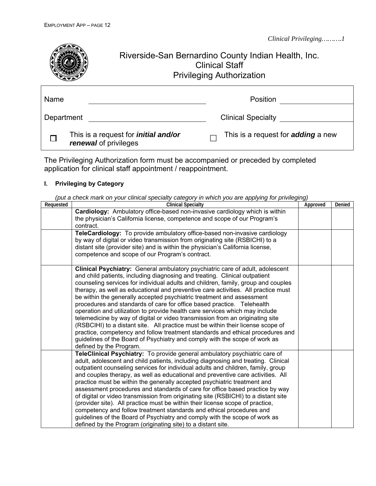

The Privileging Authorization form must be accompanied or preceded by completed application for clinical staff appointment / reappointment.

#### **I. Privileging by Category**

| (put a check mark on your clinical specialty category in which you are applying for privileging) |  |  |  |
|--------------------------------------------------------------------------------------------------|--|--|--|

| Requested | <b>Clinical Specialty</b>                                                                                                                                                                                                                                                                                                                                                                                                                                                                                                                                                                                                                                                                                                                                                                                                                                                                                                              | Approved | Denied |
|-----------|----------------------------------------------------------------------------------------------------------------------------------------------------------------------------------------------------------------------------------------------------------------------------------------------------------------------------------------------------------------------------------------------------------------------------------------------------------------------------------------------------------------------------------------------------------------------------------------------------------------------------------------------------------------------------------------------------------------------------------------------------------------------------------------------------------------------------------------------------------------------------------------------------------------------------------------|----------|--------|
|           | Cardiology: Ambulatory office-based non-invasive cardiology which is within<br>the physician's California license, competence and scope of our Program's<br>contract.                                                                                                                                                                                                                                                                                                                                                                                                                                                                                                                                                                                                                                                                                                                                                                  |          |        |
|           | TeleCardiology: To provide ambulatory office-based non-invasive cardiology<br>by way of digital or video transmission from originating site (RSBICHI) to a<br>distant site (provider site) and is within the physician's California license,<br>competence and scope of our Program's contract.                                                                                                                                                                                                                                                                                                                                                                                                                                                                                                                                                                                                                                        |          |        |
|           | Clinical Psychiatry: General ambulatory psychiatric care of adult, adolescent<br>and child patients, including diagnosing and treating. Clinical outpatient<br>counseling services for individual adults and children, family, group and couples<br>therapy, as well as educational and preventive care activities. All practice must<br>be within the generally accepted psychiatric treatment and assessment<br>procedures and standards of care for office based practice. Telehealth<br>operation and utilization to provide health care services which may include<br>telemedicine by way of digital or video transmission from an originating site<br>(RSBCIHI) to a distant site. All practice must be within their license scope of<br>practice, competency and follow treatment standards and ethical procedures and<br>guidelines of the Board of Psychiatry and comply with the scope of work as<br>defined by the Program. |          |        |
|           | TeleClinical Psychiatry: To provide general ambulatory psychiatric care of<br>adult, adolescent and child patients, including diagnosing and treating. Clinical<br>outpatient counseling services for individual adults and children, family, group<br>and couples therapy, as well as educational and preventive care activities. All<br>practice must be within the generally accepted psychiatric treatment and<br>assessment procedures and standards of care for office based practice by way<br>of digital or video transmission from originating site (RSBICHI) to a distant site<br>(provider site). All practice must be within their license scope of practice,<br>competency and follow treatment standards and ethical procedures and<br>guidelines of the Board of Psychiatry and comply with the scope of work as<br>defined by the Program (originating site) to a distant site.                                        |          |        |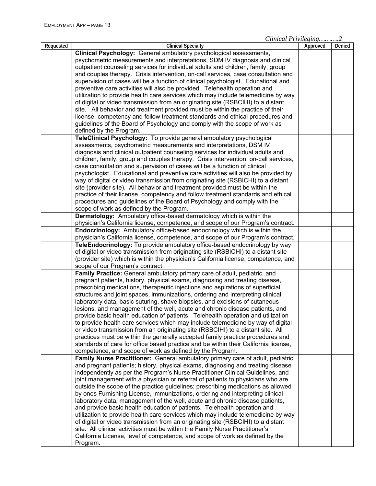*Clinical Privileging……….2*

| Requested | <b>Clinical Specialty</b>                                                           | Approved | Denied |
|-----------|-------------------------------------------------------------------------------------|----------|--------|
|           | Clinical Psychology: General ambulatory psychological assessments,                  |          |        |
|           | psychometric measurements and interpretations, SDM IV diagnosis and clinical        |          |        |
|           | outpatient counseling services for individual adults and children, family, group    |          |        |
|           | and couples therapy. Crisis intervention, on-call services, case consultation and   |          |        |
|           | supervision of cases will be a function of clinical psychologist. Educational and   |          |        |
|           | preventive care activities will also be provided. Telehealth operation and          |          |        |
|           | utilization to provide health care services which may include telemedicine by way   |          |        |
|           | of digital or video transmission from an originating site (RSBCIHI) to a distant    |          |        |
|           | site. All behavior and treatment provided must be within the practice of their      |          |        |
|           | license, competency and follow treatment standards and ethical procedures and       |          |        |
|           | guidelines of the Board of Psychology and comply with the scope of work as          |          |        |
|           | defined by the Program.                                                             |          |        |
|           | TeleClinical Psychology: To provide general ambulatory psychological                |          |        |
|           | assessments, psychometric measurements and interpretations, DSM IV                  |          |        |
|           | diagnosis and clinical outpatient counseling services for individual adults and     |          |        |
|           | children, family, group and couples therapy. Crisis intervention, on-call services, |          |        |
|           | case consultation and supervision of cases will be a function of clinical           |          |        |
|           | psychologist. Educational and preventive care activities will also be provided by   |          |        |
|           | way of digital or video transmission from originating site (RSBICHI) to a distant   |          |        |
|           | site (provider site). All behavior and treatment provided must be within the        |          |        |
|           | practice of their license, competency and follow treatment standards and ethical    |          |        |
|           | procedures and guidelines of the Board of Psychology and comply with the            |          |        |
|           | scope of work as defined by the Program.                                            |          |        |
|           | Dermatology: Ambulatory office-based dermatology which is within the                |          |        |
|           | physician's California license, competence, and scope of our Program's contract.    |          |        |
|           | <b>Endocrinology:</b> Ambulatory office-based endocrinology which is within the     |          |        |
|           | physician's California license, competence, and scope of our Program's contract.    |          |        |
|           | TeleEndocrinology: To provide ambulatory office-based endocrinology by way          |          |        |
|           | of digital or video transmission from originating site (RSBICHI) to a distant site  |          |        |
|           | (provider site) which is within the physician's California license, competence, and |          |        |
|           | scope of our Program's contract.                                                    |          |        |
|           | Family Practice: General ambulatory primary care of adult, pediatric, and           |          |        |
|           | pregnant patients, history, physical exams, diagnosing and treating disease,        |          |        |
|           | prescribing medications, therapeutic injections and aspirations of superficial      |          |        |
|           | structures and joint spaces, immunizations, ordering and interpreting clinical      |          |        |
|           | laboratory data, basic suturing, shave biopsies, and excisions of cutaneous         |          |        |
|           | lesions, and management of the well, acute and chronic disease patients, and        |          |        |
|           | provide basic health education of patients. Telehealth operation and utilization    |          |        |
|           | to provide health care services which may include telemedicine by way of digital    |          |        |
|           | or video transmission from an originating site (RSBCIHI) to a distant site. All     |          |        |
|           | practices must be within the generally accepted family practice procedures and      |          |        |
|           | standards of care for office based practice and be within their California license, |          |        |
|           | competence, and scope of work as defined by the Program.                            |          |        |
|           | Family Nurse Practitioner: General ambulatory primary care of adult, pediatric,     |          |        |
|           | and pregnant patients; history, physical exams, diagnosing and treating disease     |          |        |
|           | independently as per the Program's Nurse Practitioner Clinical Guidelines, and      |          |        |
|           | joint management with a physician or referral of patients to physicians who are     |          |        |
|           | outside the scope of the practice guidelines; prescribing medications as allowed    |          |        |
|           | by ones Furnishing License, immunizations, ordering and interpreting clinical       |          |        |
|           | laboratory data, management of the well, acute and chronic disease patients,        |          |        |
|           | and provide basic health education of patients. Telehealth operation and            |          |        |
|           | utilization to provide health care services which may include telemedicine by way   |          |        |
|           | of digital or video transmission from an originating site (RSBCIHI) to a distant    |          |        |
|           | site. All clinical activities must be within the Family Nurse Practitioner's        |          |        |
|           | California License, level of competence, and scope of work as defined by the        |          |        |
|           | Program.                                                                            |          |        |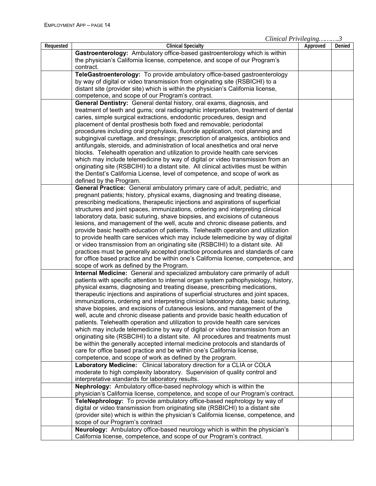|           |                                                                                      | $C$ $m$ $u$ $l$ $m$ $l$ $m$ $l$ $m$ $l$ $m$ $l$ $m$ |        |
|-----------|--------------------------------------------------------------------------------------|-----------------------------------------------------|--------|
| Requested | <b>Clinical Specialty</b>                                                            | Approved                                            | Denied |
|           | Gastroenterology: Ambulatory office-based gastroenterology which is within           |                                                     |        |
|           | the physician's California license, competence, and scope of our Program's           |                                                     |        |
|           | contract.                                                                            |                                                     |        |
|           | TeleGastroenterology: To provide ambulatory office-based gastroenterology            |                                                     |        |
|           | by way of digital or video transmission from originating site (RSBICHI) to a         |                                                     |        |
|           | distant site (provider site) which is within the physician's California license,     |                                                     |        |
|           | competence, and scope of our Program's contract.                                     |                                                     |        |
|           | General Dentistry: General dental history, oral exams, diagnosis, and                |                                                     |        |
|           | treatment of teeth and gums; oral radiographic interpretation, treatment of dental   |                                                     |        |
|           | caries, simple surgical extractions, endodontic procedures, design and               |                                                     |        |
|           | placement of dental prosthesis both fixed and removable; periodontal                 |                                                     |        |
|           | procedures including oral prophylaxis, fluoride application, root planning and       |                                                     |        |
|           | subgingival curettage, and dressings; prescription of analgesics, antibiotics and    |                                                     |        |
|           | antifungals, steroids, and administration of local anesthetics and oral nerve        |                                                     |        |
|           |                                                                                      |                                                     |        |
|           | blocks. Telehealth operation and utilization to provide health care services         |                                                     |        |
|           | which may include telemedicine by way of digital or video transmission from an       |                                                     |        |
|           | originating site (RSBCIHI) to a distant site. All clinical activities must be within |                                                     |        |
|           | the Dentist's California License, level of competence, and scope of work as          |                                                     |        |
|           | defined by the Program.                                                              |                                                     |        |
|           | General Practice: General ambulatory primary care of adult, pediatric, and           |                                                     |        |
|           | pregnant patients; history, physical exams, diagnosing and treating disease,         |                                                     |        |
|           | prescribing medications, therapeutic injections and aspirations of superficial       |                                                     |        |
|           | structures and joint spaces, immunizations, ordering and interpreting clinical       |                                                     |        |
|           | laboratory data, basic suturing, shave biopsies, and excisions of cutaneous          |                                                     |        |
|           | lesions, and management of the well, acute and chronic disease patients, and         |                                                     |        |
|           | provide basic health education of patients. Telehealth operation and utilization     |                                                     |        |
|           | to provide health care services which may include telemedicine by way of digital     |                                                     |        |
|           | or video transmission from an originating site (RSBCIHI) to a distant site. All      |                                                     |        |
|           | practices must be generally accepted practice procedures and standards of care       |                                                     |        |
|           | for office based practice and be within one's California license, competence, and    |                                                     |        |
|           | scope of work as defined by the Program.                                             |                                                     |        |
|           | Internal Medicine: General and specialized ambulatory care primarily of adult        |                                                     |        |
|           | patients with specific attention to internal organ system pathophysiology, history,  |                                                     |        |
|           | physical exams, diagnosing and treating disease, prescribing medications,            |                                                     |        |
|           | therapeutic injections and aspirations of superficial structures and joint spaces,   |                                                     |        |
|           | immunizations, ordering and interpreting clinical laboratory data, basic suturing,   |                                                     |        |
|           | shave biopsies, and excisions of cutaneous lesions, and management of the            |                                                     |        |
|           | well, acute and chronic disease patients and provide basic health education of       |                                                     |        |
|           | patients. Telehealth operation and utilization to provide health care services       |                                                     |        |
|           | which may include telemedicine by way of digital or video transmission from an       |                                                     |        |
|           | originating site (RSBCIHI) to a distant site. All procedures and treatments must     |                                                     |        |
|           | be within the generally accepted internal medicine protocols and standards of        |                                                     |        |
|           | care for office based practice and be within one's California license,               |                                                     |        |
|           | competence, and scope of work as defined by the program.                             |                                                     |        |
|           | Laboratory Medicine: Clinical laboratory direction for a CLIA or COLA                |                                                     |        |
|           | moderate to high complexity laboratory. Supervision of quality control and           |                                                     |        |
|           | interpretative standards for laboratory results.                                     |                                                     |        |
|           |                                                                                      |                                                     |        |
|           | Nephrology: Ambulatory office-based nephrology which is within the                   |                                                     |        |
|           | physician's California license, competence, and scope of our Program's contract.     |                                                     |        |
|           | TeleNephrology: To provide ambulatory office-based nephrology by way of              |                                                     |        |
|           | digital or video transmission from originating site (RSBICHI) to a distant site      |                                                     |        |
|           | (provider site) which is within the physician's California license, competence, and  |                                                     |        |
|           | scope of our Program's contract                                                      |                                                     |        |
|           | Neurology: Ambulatory office-based neurology which is within the physician's         |                                                     |        |
|           | California license, competence, and scope of our Program's contract.                 |                                                     |        |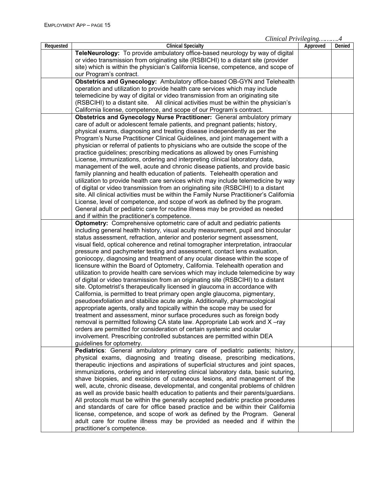| Requested | <b>Clinical Specialty</b>                                                               |          |        |
|-----------|-----------------------------------------------------------------------------------------|----------|--------|
|           |                                                                                         | Approved | Denied |
|           | TeleNeurology: To provide ambulatory office-based neurology by way of digital           |          |        |
|           | or video transmission from originating site (RSBICHI) to a distant site (provider       |          |        |
|           | site) which is within the physician's California license, competence, and scope of      |          |        |
|           | our Program's contract.                                                                 |          |        |
|           | Obstetrics and Gynecology: Ambulatory office-based OB-GYN and Telehealth                |          |        |
|           | operation and utilization to provide health care services which may include             |          |        |
|           | telemedicine by way of digital or video transmission from an originating site           |          |        |
|           | (RSBCIHI) to a distant site. All clinical activities must be within the physician's     |          |        |
|           | California license, competence, and scope of our Program's contract.                    |          |        |
|           | <b>Obstetrics and Gynecology Nurse Practitioner:</b> General ambulatory primary         |          |        |
|           | care of adult or adolescent female patients, and pregnant patients; history,            |          |        |
|           | physical exams, diagnosing and treating disease independently as per the                |          |        |
|           | Program's Nurse Practitioner Clinical Guidelines, and joint management with a           |          |        |
|           | physician or referral of patients to physicians who are outside the scope of the        |          |        |
|           | practice guidelines; prescribing medications as allowed by ones Furnishing              |          |        |
|           | License, immunizations, ordering and interpreting clinical laboratory data,             |          |        |
|           | management of the well, acute and chronic disease patients, and provide basic           |          |        |
|           | family planning and health education of patients. Telehealth operation and              |          |        |
|           | utilization to provide health care services which may include telemedicine by way       |          |        |
|           | of digital or video transmission from an originating site (RSBCIHI) to a distant        |          |        |
|           | site. All clinical activities must be within the Family Nurse Practitioner's California |          |        |
|           | License, level of competence, and scope of work as defined by the program.              |          |        |
|           |                                                                                         |          |        |
|           | General adult or pediatric care for routine illness may be provided as needed           |          |        |
|           | and if within the practitioner's competence.                                            |          |        |
|           | Optometry: Comprehensive optometric care of adult and pediatric patients                |          |        |
|           | including general health history, visual acuity measurement, pupil and binocular        |          |        |
|           | status assessment, refraction, anterior and posterior segment assessment,               |          |        |
|           | visual field, optical coherence and retinal tomographer interpretation, intraocular     |          |        |
|           | pressure and pachymeter testing and assessment, contact lens evaluation,                |          |        |
|           | goniocopy, diagnosing and treatment of any ocular disease within the scope of           |          |        |
|           | licensure within the Board of Optometry, California. Telehealth operation and           |          |        |
|           | utilization to provide health care services which may include telemedicine by way       |          |        |
|           | of digital or video transmission from an originating site (RSBCIHI) to a distant        |          |        |
|           | site. Optometrist's therapeutically licensed in glaucoma in accordance with             |          |        |
|           | California, is permitted to treat primary open angle glaucoma, pigmentary,              |          |        |
|           | pseudoexfoliation and stabilize acute angle. Additionally, pharmacological              |          |        |
|           | appropriate agents, orally and topically within the scope may be used for               |          |        |
|           | treatment and assessment, minor surface procedures such as foreign body                 |          |        |
|           | removal is permitted following CA state law. Appropriate Lab work and X-ray             |          |        |
|           | orders are permitted for consideration of certain systemic and ocular                   |          |        |
|           | involvement. Prescribing controlled substances are permitted within DEA                 |          |        |
|           | guidelines for optometry.                                                               |          |        |
|           | Pediatrics: General ambulatory primary care of pediatric patients; history,             |          |        |
|           | physical exams, diagnosing and treating disease, prescribing medications,               |          |        |
|           | therapeutic injections and aspirations of superficial structures and joint spaces,      |          |        |
|           | immunizations, ordering and interpreting clinical laboratory data, basic suturing,      |          |        |
|           | shave biopsies, and excisions of cutaneous lesions, and management of the               |          |        |
|           | well, acute, chronic disease, developmental, and congenital problems of children        |          |        |
|           | as well as provide basic health education to patients and their parents/guardians.      |          |        |
|           | All protocols must be within the generally accepted pediatric practice procedures       |          |        |
|           | and standards of care for office based practice and be within their California          |          |        |
|           | license, competence, and scope of work as defined by the Program. General               |          |        |
|           | adult care for routine illness may be provided as needed and if within the              |          |        |
|           | practitioner's competence.                                                              |          |        |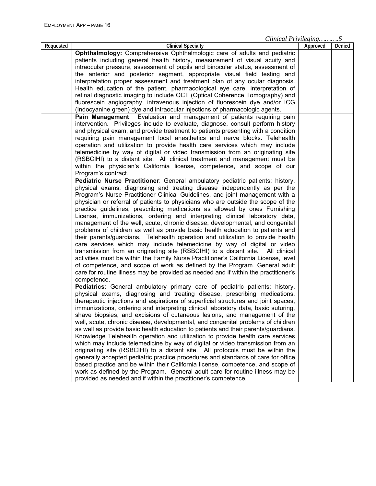*Clinical Privileging……….5*

| Requested | <b>Clinical Specialty</b>                                                           | Approved | Denied |
|-----------|-------------------------------------------------------------------------------------|----------|--------|
|           | Ophthalmology: Comprehensive Ophthalmologic care of adults and pediatric            |          |        |
|           | patients including general health history, measurement of visual acuity and         |          |        |
|           | intraocular pressure, assessment of pupils and binocular status, assessment of      |          |        |
|           | the anterior and posterior segment, appropriate visual field testing and            |          |        |
|           | interpretation proper assessment and treatment plan of any ocular diagnosis.        |          |        |
|           | Health education of the patient, pharmacological eye care, interpretation of        |          |        |
|           | retinal diagnostic imaging to include OCT (Optical Coherence Tomography) and        |          |        |
|           | fluorescein angiography, intravenous injection of fluorescein dye and/or ICG        |          |        |
|           | (Indocyanine green) dye and intraocular injections of pharmacologic agents.         |          |        |
|           | Pain Management: Evaluation and management of patients requiring pain               |          |        |
|           | intervention. Privileges include to evaluate, diagnose, consult perform history     |          |        |
|           | and physical exam, and provide treatment to patients presenting with a condition    |          |        |
|           | requiring pain management local anesthetics and nerve blocks. Telehealth            |          |        |
|           | operation and utilization to provide health care services which may include         |          |        |
|           | telemedicine by way of digital or video transmission from an originating site       |          |        |
|           | (RSBCIHI) to a distant site. All clinical treatment and management must be          |          |        |
|           |                                                                                     |          |        |
|           | within the physician's California license, competence, and scope of our             |          |        |
|           | Program's contract.                                                                 |          |        |
|           | Pediatric Nurse Practitioner: General ambulatory pediatric patients; history,       |          |        |
|           | physical exams, diagnosing and treating disease independently as per the            |          |        |
|           | Program's Nurse Practitioner Clinical Guidelines, and joint management with a       |          |        |
|           | physician or referral of patients to physicians who are outside the scope of the    |          |        |
|           | practice guidelines; prescribing medications as allowed by ones Furnishing          |          |        |
|           | License, immunizations, ordering and interpreting clinical laboratory data,         |          |        |
|           | management of the well, acute, chronic disease, developmental, and congenital       |          |        |
|           | problems of children as well as provide basic health education to patients and      |          |        |
|           | their parents/guardians. Telehealth operation and utilization to provide health     |          |        |
|           | care services which may include telemedicine by way of digital or video             |          |        |
|           | transmission from an originating site (RSBCIHI) to a distant site. All clinical     |          |        |
|           | activities must be within the Family Nurse Practitioner's California License, level |          |        |
|           | of competence, and scope of work as defined by the Program. General adult           |          |        |
|           | care for routine illness may be provided as needed and if within the practitioner's |          |        |
|           | competence.                                                                         |          |        |
|           | Pediatrics: General ambulatory primary care of pediatric patients; history,         |          |        |
|           | physical exams, diagnosing and treating disease, prescribing medications,           |          |        |
|           | therapeutic injections and aspirations of superficial structures and joint spaces,  |          |        |
|           | immunizations, ordering and interpreting clinical laboratory data, basic suturing,  |          |        |
|           | shave biopsies, and excisions of cutaneous lesions, and management of the           |          |        |
|           | well, acute, chronic disease, developmental, and congenital problems of children    |          |        |
|           | as well as provide basic health education to patients and their parents/guardians.  |          |        |
|           | Knowledge Telehealth operation and utilization to provide health care services      |          |        |
|           |                                                                                     |          |        |
|           | which may include telemedicine by way of digital or video transmission from an      |          |        |
|           | originating site (RSBCIHI) to a distant site. All protocols must be within the      |          |        |
|           | generally accepted pediatric practice procedures and standards of care for office   |          |        |
|           | based practice and be within their California license, competence, and scope of     |          |        |
|           | work as defined by the Program. General adult care for routine illness may be       |          |        |
|           | provided as needed and if within the practitioner's competence.                     |          |        |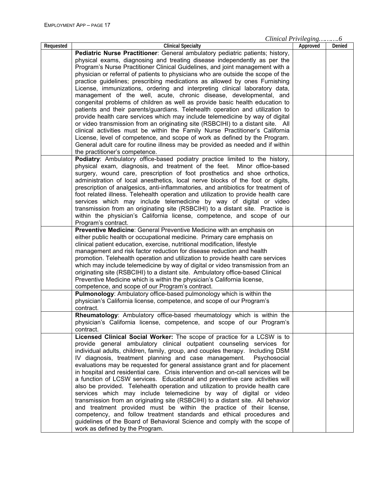*Clinical Privileging……….6*

|           |                                                                                    | $C$ <i>mical I rivileging</i> 0 |        |
|-----------|------------------------------------------------------------------------------------|---------------------------------|--------|
| Requested | <b>Clinical Specialty</b>                                                          | Approved                        | Denied |
|           | Pediatric Nurse Practitioner: General ambulatory pediatric patients; history,      |                                 |        |
|           | physical exams, diagnosing and treating disease independently as per the           |                                 |        |
|           | Program's Nurse Practitioner Clinical Guidelines, and joint management with a      |                                 |        |
|           | physician or referral of patients to physicians who are outside the scope of the   |                                 |        |
|           | practice guidelines; prescribing medications as allowed by ones Furnishing         |                                 |        |
|           | License, immunizations, ordering and interpreting clinical laboratory data,        |                                 |        |
|           | management of the well, acute, chronic disease, developmental, and                 |                                 |        |
|           |                                                                                    |                                 |        |
|           | congenital problems of children as well as provide basic health education to       |                                 |        |
|           | patients and their parents/guardians. Telehealth operation and utilization to      |                                 |        |
|           | provide health care services which may include telemedicine by way of digital      |                                 |        |
|           | or video transmission from an originating site (RSBCIHI) to a distant site. All    |                                 |        |
|           | clinical activities must be within the Family Nurse Practitioner's California      |                                 |        |
|           | License, level of competence, and scope of work as defined by the Program.         |                                 |        |
|           | General adult care for routine illness may be provided as needed and if within     |                                 |        |
|           | the practitioner's competence.                                                     |                                 |        |
|           | Podiatry: Ambulatory office-based podiatry practice limited to the history,        |                                 |        |
|           | physical exam, diagnosis, and treatment of the feet. Minor office-based            |                                 |        |
|           | surgery, wound care, prescription of foot prosthetics and shoe orthotics,          |                                 |        |
|           |                                                                                    |                                 |        |
|           | administration of local anesthetics, local nerve blocks of the foot or digits,     |                                 |        |
|           | prescription of analgesics, anti-inflammatories, and antibiotics for treatment of  |                                 |        |
|           | foot related illness. Telehealth operation and utilization to provide health care  |                                 |        |
|           | services which may include telemedicine by way of digital or video                 |                                 |        |
|           | transmission from an originating site (RSBCIHI) to a distant site. Practice is     |                                 |        |
|           | within the physician's California license, competence, and scope of our            |                                 |        |
|           | Program's contract.                                                                |                                 |        |
|           | Preventive Medicine: General Preventive Medicine with an emphasis on               |                                 |        |
|           | either public health or occupational medicine. Primary care emphasis on            |                                 |        |
|           | clinical patient education, exercise, nutritional modification, lifestyle          |                                 |        |
|           | management and risk factor reduction for disease reduction and health              |                                 |        |
|           | promotion. Telehealth operation and utilization to provide health care services    |                                 |        |
|           | which may include telemedicine by way of digital or video transmission from an     |                                 |        |
|           |                                                                                    |                                 |        |
|           | originating site (RSBCIHI) to a distant site. Ambulatory office-based Clinical     |                                 |        |
|           | Preventive Medicine which is within the physician's California license,            |                                 |        |
|           | competence, and scope of our Program's contract.                                   |                                 |        |
|           | Pulmonology: Ambulatory office-based pulmonology which is within the               |                                 |        |
|           | physician's California license, competence, and scope of our Program's             |                                 |        |
|           | contract.                                                                          |                                 |        |
|           | Rheumatology: Ambulatory office-based rheumatology which is within the             |                                 |        |
|           | physician's California license, competence, and scope of our Program's             |                                 |        |
|           | contract.                                                                          |                                 |        |
|           | Licensed Clinical Social Worker: The scope of practice for a LCSW is to            |                                 |        |
|           | provide general ambulatory clinical outpatient counseling services for             |                                 |        |
|           | individual adults, children, family, group, and couples therapy. Including DSM     |                                 |        |
|           | IV diagnosis, treatment planning and case management.<br>Psychosocial              |                                 |        |
|           | evaluations may be requested for general assistance grant and for placement        |                                 |        |
|           | in hospital and residential care. Crisis intervention and on-call services will be |                                 |        |
|           | a function of LCSW services. Educational and preventive care activities will       |                                 |        |
|           |                                                                                    |                                 |        |
|           | also be provided. Telehealth operation and utilization to provide health care      |                                 |        |
|           | services which may include telemedicine by way of digital or video                 |                                 |        |
|           | transmission from an originating site (RSBCIHI) to a distant site. All behavior    |                                 |        |
|           | and treatment provided must be within the practice of their license,               |                                 |        |
|           | competency, and follow treatment standards and ethical procedures and              |                                 |        |
|           | guidelines of the Board of Behavioral Science and comply with the scope of         |                                 |        |
|           | work as defined by the Program.                                                    |                                 |        |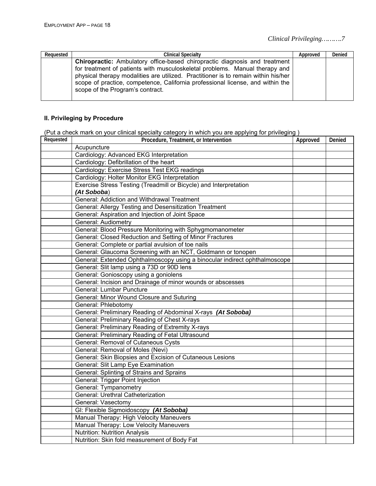| Reauested | <b>Clinical Specialty</b>                                                                                                                                                                                                                                                                                                                                                    | Approved | Denied |
|-----------|------------------------------------------------------------------------------------------------------------------------------------------------------------------------------------------------------------------------------------------------------------------------------------------------------------------------------------------------------------------------------|----------|--------|
|           | <b>Chiropractic:</b> Ambulatory office-based chiropractic diagnosis and treatment<br>for treatment of patients with musculoskeletal problems. Manual therapy and<br>physical therapy modalities are utilized. Practitioner is to remain within his/her<br>scope of practice, competence, California professional license, and within the<br>scope of the Program's contract. |          |        |

#### **II. Privileging by Procedure**

(Put a check mark on your clinical specialty category in which you are applying for privileging )

| Requested | Procedure, Treatment, or Intervention                                      | Approved | Denied |
|-----------|----------------------------------------------------------------------------|----------|--------|
|           | Acupuncture                                                                |          |        |
|           | Cardiology: Advanced EKG Interpretation                                    |          |        |
|           | Cardiology: Defibrillation of the heart                                    |          |        |
|           | Cardiology: Exercise Stress Test EKG readings                              |          |        |
|           | Cardiology: Holter Monitor EKG Interpretation                              |          |        |
|           | Exercise Stress Testing (Treadmill or Bicycle) and Interpretation          |          |        |
|           | (At Soboba)                                                                |          |        |
|           | General: Addiction and Withdrawal Treatment                                |          |        |
|           | General: Allergy Testing and Desensitization Treatment                     |          |        |
|           | General: Aspiration and Injection of Joint Space                           |          |        |
|           | <b>General: Audiometry</b>                                                 |          |        |
|           | General: Blood Pressure Monitoring with Sphygmomanometer                   |          |        |
|           | General: Closed Reduction and Setting of Minor Fractures                   |          |        |
|           | General: Complete or partial avulsion of toe nails                         |          |        |
|           | General: Glaucoma Screening with an NCT, Goldmann or tonopen               |          |        |
|           | General: Extended Ophthalmoscopy using a binocular indirect ophthalmoscope |          |        |
|           | General: Slit lamp using a 73D or 90D lens                                 |          |        |
|           | General: Gonioscopy using a goniolens                                      |          |        |
|           | General: Incision and Drainage of minor wounds or abscesses                |          |        |
|           | General: Lumbar Puncture                                                   |          |        |
|           | General: Minor Wound Closure and Suturing                                  |          |        |
|           | General: Phlebotomy                                                        |          |        |
|           | General: Preliminary Reading of Abdominal X-rays (At Soboba)               |          |        |
|           | General: Preliminary Reading of Chest X-rays                               |          |        |
|           | General: Preliminary Reading of Extremity X-rays                           |          |        |
|           | General: Preliminary Reading of Fetal Ultrasound                           |          |        |
|           | General: Removal of Cutaneous Cysts                                        |          |        |
|           | General: Removal of Moles (Nevi)                                           |          |        |
|           | General: Skin Biopsies and Excision of Cutaneous Lesions                   |          |        |
|           | General: Slit Lamp Eye Examination                                         |          |        |
|           | General: Splinting of Strains and Sprains                                  |          |        |
|           | General: Trigger Point Injection                                           |          |        |
|           | General: Tympanometry                                                      |          |        |
|           | General: Urethral Catheterization                                          |          |        |
|           | General: Vasectomy                                                         |          |        |
|           | GI: Flexible Sigmoidoscopy (At Soboba)                                     |          |        |
|           | Manual Therapy: High Velocity Maneuvers                                    |          |        |
|           | Manual Therapy: Low Velocity Maneuvers                                     |          |        |
|           | <b>Nutrition: Nutrition Analysis</b>                                       |          |        |
|           | Nutrition: Skin fold measurement of Body Fat                               |          |        |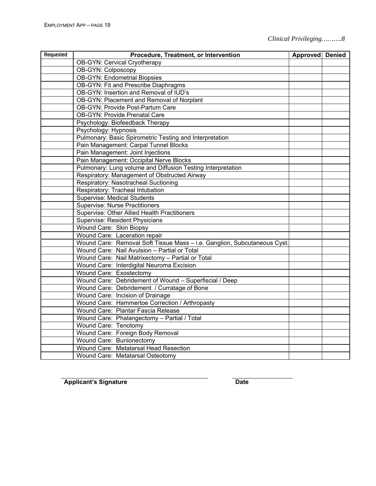| Requested | Procedure, Treatment, or Intervention                                    | Approved Denied |  |
|-----------|--------------------------------------------------------------------------|-----------------|--|
|           | <b>OB-GYN: Cervical Cryotherapy</b>                                      |                 |  |
|           | OB-GYN: Colposcopy                                                       |                 |  |
|           | <b>OB-GYN: Endometrial Biopsies</b>                                      |                 |  |
|           | OB-GYN: Fit and Prescribe Diaphragms                                     |                 |  |
|           | OB-GYN: Insertion and Removal of IUD's                                   |                 |  |
|           | OB-GYN: Placement and Removal of Norplant                                |                 |  |
|           | <b>OB-GYN: Provide Post-Partum Care</b>                                  |                 |  |
|           | <b>OB-GYN: Provide Prenatal Care</b>                                     |                 |  |
|           | Psychology: Biofeedback Therapy                                          |                 |  |
|           | Psychology: Hypnosis                                                     |                 |  |
|           | Pulmonary: Basic Spirometric Testing and Interpretation                  |                 |  |
|           | Pain Management: Carpal Tunnel Blocks                                    |                 |  |
|           | Pain Management: Joint Injections                                        |                 |  |
|           | Pain Management: Occipital Nerve Blocks                                  |                 |  |
|           | Pulmonary: Lung volume and Diffusion Testing Interpretation              |                 |  |
|           | Respiratory: Management of Obstructed Airway                             |                 |  |
|           | Respiratory: Nasotracheal Suctioning                                     |                 |  |
|           | Respiratory: Tracheal Intubation                                         |                 |  |
|           | <b>Supervise: Medical Students</b>                                       |                 |  |
|           | Supervise: Nurse Practitioners                                           |                 |  |
|           | Supervise: Other Allied Health Practitioners                             |                 |  |
|           | Supervise: Resident Physicians                                           |                 |  |
|           | Wound Care: Skin Biopsy                                                  |                 |  |
|           | Wound Care: Laceration repair                                            |                 |  |
|           | Wound Care: Removal Soft Tissue Mass - i.e. Ganglion, Subcutaneous Cyst. |                 |  |
|           | Wound Care: Nail Avulsion - Partial or Total                             |                 |  |
|           | Wound Care: Nail Matrixectomy - Partial or Total                         |                 |  |
|           | Wound Care: Interdigital Neuroma Excision                                |                 |  |
|           | Wound Care: Exostectomy                                                  |                 |  |
|           | Wound Care: Debridement of Wound - Superfiscial / Deep                   |                 |  |
|           | Wound Care: Debridement / Curratage of Bone                              |                 |  |
|           | Wound Care: Incision of Drainage                                         |                 |  |
|           | Wound Care: Hammertoe Correction / Arthropasty                           |                 |  |
|           | Wound Care: Plantar Fascia Release                                       |                 |  |
|           | Wound Care: Phalangectomy - Partial / Total                              |                 |  |
|           | Wound Care: Tenotomy                                                     |                 |  |
|           | Wound Care: Foreign Body Removal                                         |                 |  |
|           | Wound Care: Bunionectomy                                                 |                 |  |
|           | Wound Care: Metatarsal Head Resection                                    |                 |  |
|           | Wound Care: Metatarsal Osteotomy                                         |                 |  |

Applicant's Signature **Date Date**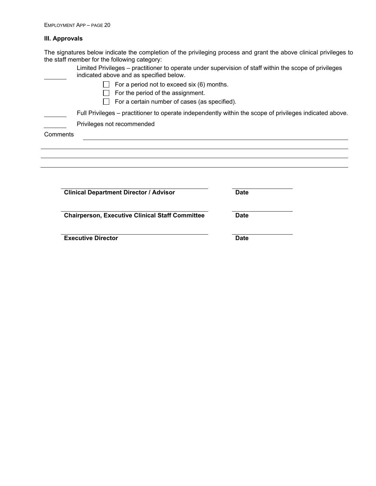#### **III. Approvals**

The signatures below indicate the completion of the privileging process and grant the above clinical privileges to the staff member for the following category:

| Limited Privileges – practitioner to operate under supervision of staff within the scope of privileges<br>indicated above and as specified below. |             |
|---------------------------------------------------------------------------------------------------------------------------------------------------|-------------|
| For a period not to exceed six (6) months.                                                                                                        |             |
| For the period of the assignment.                                                                                                                 |             |
| For a certain number of cases (as specified).                                                                                                     |             |
| Full Privileges – practitioner to operate independently within the scope of privileges indicated above.                                           |             |
| Privileges not recommended                                                                                                                        |             |
| Comments                                                                                                                                          |             |
|                                                                                                                                                   |             |
|                                                                                                                                                   |             |
|                                                                                                                                                   |             |
|                                                                                                                                                   |             |
|                                                                                                                                                   |             |
| <b>Clinical Department Director / Advisor</b>                                                                                                     | <b>Date</b> |
|                                                                                                                                                   |             |
| <b>Chairperson, Executive Clinical Staff Committee</b>                                                                                            | <b>Date</b> |
|                                                                                                                                                   |             |
|                                                                                                                                                   |             |
| <b>Executive Director</b>                                                                                                                         | <b>Date</b> |
|                                                                                                                                                   |             |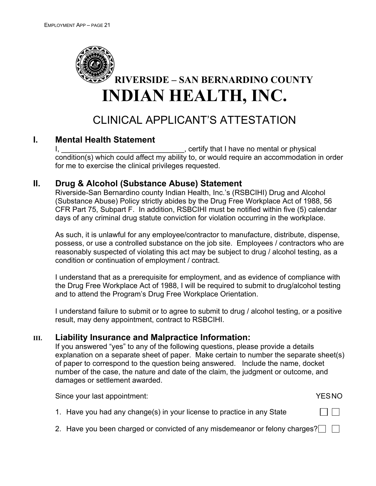

# CLINICAL APPLICANT'S ATTESTATION

## **I. Mental Health Statement**

I, the contract of the contract of the contract of the contract of the contract of the contract of the contract of the contract of the contract of the contract of the contract of the contract of the contract of the contrac condition(s) which could affect my ability to, or would require an accommodation in order for me to exercise the clinical privileges requested.

### **II. Drug & Alcohol (Substance Abuse) Statement**

Riverside-San Bernardino county Indian Health, Inc.'s (RSBCIHI) Drug and Alcohol (Substance Abuse) Policy strictly abides by the Drug Free Workplace Act of 1988, 56 CFR Part 75, Subpart F. In addition, RSBCIHI must be notified within five (5) calendar days of any criminal drug statute conviction for violation occurring in the workplace.

As such, it is unlawful for any employee/contractor to manufacture, distribute, dispense, possess, or use a controlled substance on the job site. Employees / contractors who are reasonably suspected of violating this act may be subject to drug / alcohol testing, as a condition or continuation of employment / contract.

I understand that as a prerequisite for employment, and as evidence of compliance with the Drug Free Workplace Act of 1988, I will be required to submit to drug/alcohol testing and to attend the Program's Drug Free Workplace Orientation.

I understand failure to submit or to agree to submit to drug / alcohol testing, or a positive result, may deny appointment, contract to RSBCIHI.

### **III. Liability Insurance and Malpractice Information:**

If you answered "yes" to any of the following questions, please provide a details explanation on a separate sheet of paper. Make certain to number the separate sheet(s) of paper to correspond to the question being answered. Include the name, docket number of the case, the nature and date of the claim, the judgment or outcome, and damages or settlement awarded.

Since your last appointment:  $YESNO$ 

1. Have you had any change(s) in your license to practice in any State

2. Have you been charged or convicted of any misdemeanor or felony charges?  $\Box$ 

 $\perp$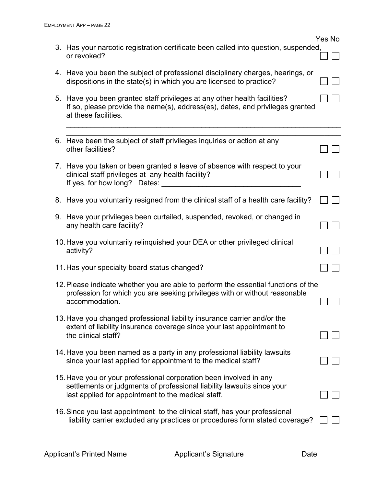|                                                                                                                                                                                                    | Yes No |
|----------------------------------------------------------------------------------------------------------------------------------------------------------------------------------------------------|--------|
| 3. Has your narcotic registration certificate been called into question, suspended,<br>or revoked?                                                                                                 |        |
| 4. Have you been the subject of professional disciplinary charges, hearings, or<br>dispositions in the state(s) in which you are licensed to practice?                                             |        |
| 5. Have you been granted staff privileges at any other health facilities?<br>If so, please provide the name(s), address(es), dates, and privileges granted<br>at these facilities.                 |        |
| 6. Have been the subject of staff privileges inquiries or action at any<br>other facilities?                                                                                                       |        |
| 7. Have you taken or been granted a leave of absence with respect to your<br>clinical staff privileges at any health facility?<br>If yes, for how long? Dates:                                     |        |
| 8. Have you voluntarily resigned from the clinical staff of a health care facility?                                                                                                                |        |
| 9. Have your privileges been curtailed, suspended, revoked, or changed in<br>any health care facility?                                                                                             |        |
| 10. Have you voluntarily relinquished your DEA or other privileged clinical<br>activity?                                                                                                           |        |
| 11. Has your specialty board status changed?                                                                                                                                                       |        |
| 12. Please indicate whether you are able to perform the essential functions of the<br>profession for which you are seeking privileges with or without reasonable<br>accommodation.                 |        |
| 13. Have you changed professional liability insurance carrier and/or the<br>extent of liability insurance coverage since your last appointment to<br>the clinical staff?                           |        |
| 14. Have you been named as a party in any professional liability lawsuits<br>since your last applied for appointment to the medical staff?                                                         |        |
| 15. Have you or your professional corporation been involved in any<br>settlements or judgments of professional liability lawsuits since your<br>last applied for appointment to the medical staff. |        |
| 16. Since you last appointment to the clinical staff, has your professional<br>liability carrier excluded any practices or procedures form stated coverage?                                        |        |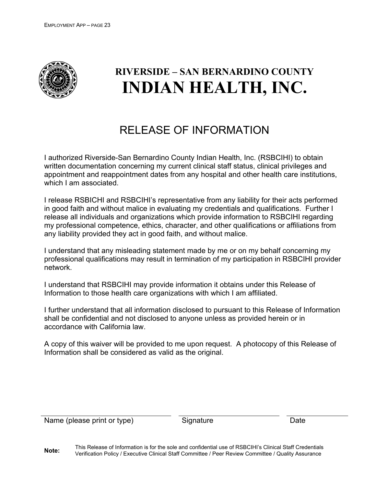

# **RIVERSIDE – SAN BERNARDINO COUNTY INDIAN HEALTH, INC.**

# RELEASE OF INFORMATION

I authorized Riverside-San Bernardino County Indian Health, Inc. (RSBCIHI) to obtain written documentation concerning my current clinical staff status, clinical privileges and appointment and reappointment dates from any hospital and other health care institutions, which I am associated.

I release RSBICHI and RSBCIHI's representative from any liability for their acts performed in good faith and without malice in evaluating my credentials and qualifications. Further I release all individuals and organizations which provide information to RSBCIHI regarding my professional competence, ethics, character, and other qualifications or affiliations from any liability provided they act in good faith, and without malice.

I understand that any misleading statement made by me or on my behalf concerning my professional qualifications may result in termination of my participation in RSBCIHI provider network.

I understand that RSBCIHI may provide information it obtains under this Release of Information to those health care organizations with which I am affiliated.

I further understand that all information disclosed to pursuant to this Release of Information shall be confidential and not disclosed to anyone unless as provided herein or in accordance with California law.

A copy of this waiver will be provided to me upon request. A photocopy of this Release of Information shall be considered as valid as the original.

Name (please print or type) Signature Signature Date

**Note:** This Release of Information is for the sole and confidential use of RSBCIHI's Clinical Staff Credentials Verification Policy / Executive Clinical Staff Committee / Peer Review Committee / Quality Assurance